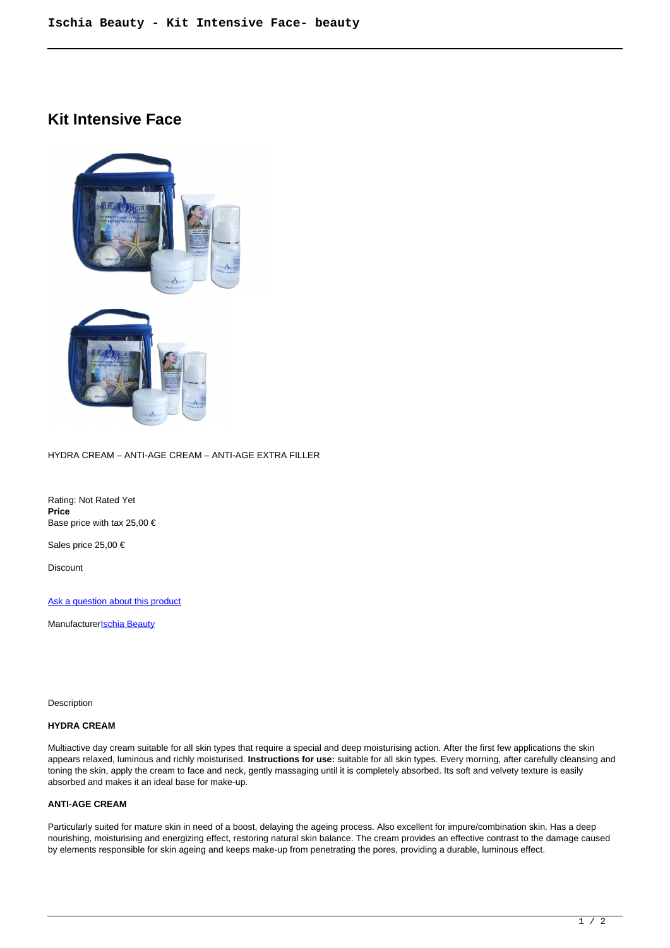# **Kit Intensive Face**



#### HYDRA CREAM – ANTI-AGE CREAM – ANTI-AGE EXTRA FILLER

Rating: Not Rated Yet **Price**  Base price with tax 25,00 €

Sales price 25,00 €

Discount

[Ask a question about this product](https://shop.ischia.it/index.php?option=com_virtuemart&view=productdetails&task=askquestion&virtuemart_product_id=187&virtuemart_category_id=5&tmpl=component)

Manufacturer**[Ischia Beauty](https://shop.ischia.it/index.php?option=com_virtuemart&view=manufacturer&virtuemart_manufacturer_id=10&tmpl=component)** 

Description

## **HYDRA CREAM**

Multiactive day cream suitable for all skin types that require a special and deep moisturising action. After the first few applications the skin appears relaxed, luminous and richly moisturised. **Instructions for use:** suitable for all skin types. Every morning, after carefully cleansing and toning the skin, apply the cream to face and neck, gently massaging until it is completely absorbed. Its soft and velvety texture is easily absorbed and makes it an ideal base for make-up.

#### **ANTI-AGE CREAM**

Particularly suited for mature skin in need of a boost, delaying the ageing process. Also excellent for impure/combination skin. Has a deep nourishing, moisturising and energizing effect, restoring natural skin balance. The cream provides an effective contrast to the damage caused by elements responsible for skin ageing and keeps make-up from penetrating the pores, providing a durable, luminous effect.